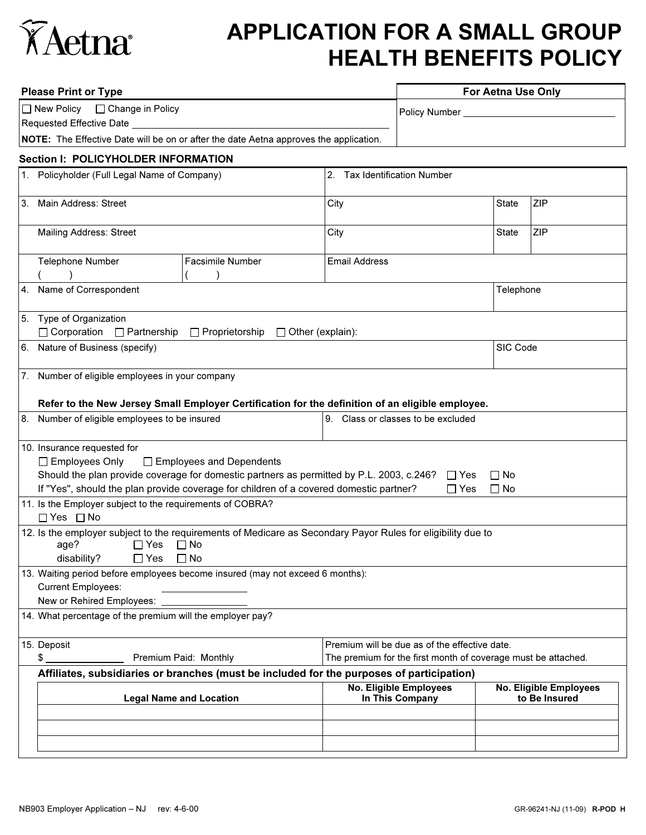

## APPLICATION FOR A SMALL GROUP HEALTH BENEFITS POLICY

|                                                                                                                                                                                       | <b>Please Print or Type</b>                                                                                                                                                    | For Aetna Use Only           |                                                  |           |                                                |  |  |  |  |
|---------------------------------------------------------------------------------------------------------------------------------------------------------------------------------------|--------------------------------------------------------------------------------------------------------------------------------------------------------------------------------|------------------------------|--------------------------------------------------|-----------|------------------------------------------------|--|--|--|--|
|                                                                                                                                                                                       | □ Change in Policy<br>$\Box$ New Policy                                                                                                                                        |                              |                                                  |           |                                                |  |  |  |  |
|                                                                                                                                                                                       | Requested Effective Date                                                                                                                                                       |                              |                                                  |           |                                                |  |  |  |  |
|                                                                                                                                                                                       | NOTE: The Effective Date will be on or after the date Aetna approves the application.                                                                                          |                              |                                                  |           |                                                |  |  |  |  |
| <b>Section I: POLICYHOLDER INFORMATION</b>                                                                                                                                            |                                                                                                                                                                                |                              |                                                  |           |                                                |  |  |  |  |
|                                                                                                                                                                                       | 1. Policyholder (Full Legal Name of Company)                                                                                                                                   | 2. Tax Identification Number |                                                  |           |                                                |  |  |  |  |
| 3.                                                                                                                                                                                    | Main Address: Street                                                                                                                                                           | City                         |                                                  |           | <b>ZIP</b>                                     |  |  |  |  |
|                                                                                                                                                                                       | <b>Mailing Address: Street</b>                                                                                                                                                 | City                         |                                                  | State     | <b>ZIP</b>                                     |  |  |  |  |
|                                                                                                                                                                                       | Telephone Number<br>Facsimile Number                                                                                                                                           | <b>Email Address</b>         |                                                  |           |                                                |  |  |  |  |
| 4.                                                                                                                                                                                    | Name of Correspondent                                                                                                                                                          |                              |                                                  | Telephone |                                                |  |  |  |  |
| 5.                                                                                                                                                                                    | Type of Organization<br>$\Box$ Corporation $\Box$ Partnership<br>Proprietorship<br>$\Box$ Other (explain):                                                                     |                              |                                                  |           |                                                |  |  |  |  |
|                                                                                                                                                                                       | 6. Nature of Business (specify)                                                                                                                                                | SIC Code                     |                                                  |           |                                                |  |  |  |  |
|                                                                                                                                                                                       | 7. Number of eligible employees in your company                                                                                                                                |                              |                                                  |           |                                                |  |  |  |  |
|                                                                                                                                                                                       | Refer to the New Jersey Small Employer Certification for the definition of an eligible employee.                                                                               |                              |                                                  |           |                                                |  |  |  |  |
| 8.                                                                                                                                                                                    | Number of eligible employees to be insured<br>9. Class or classes to be excluded                                                                                               |                              |                                                  |           |                                                |  |  |  |  |
|                                                                                                                                                                                       | 10. Insurance requested for                                                                                                                                                    |                              |                                                  |           |                                                |  |  |  |  |
|                                                                                                                                                                                       | $\Box$ Employees Only<br>□ Employees and Dependents                                                                                                                            |                              |                                                  |           |                                                |  |  |  |  |
|                                                                                                                                                                                       | Should the plan provide coverage for domestic partners as permitted by P.L. 2003, c.246?                                                                                       |                              | $\Box$ Yes<br>$\Box$ No                          |           |                                                |  |  |  |  |
|                                                                                                                                                                                       | If "Yes", should the plan provide coverage for children of a covered domestic partner?<br>$\Box$ Yes<br>$\Box$ No<br>11. Is the Employer subject to the requirements of COBRA? |                              |                                                  |           |                                                |  |  |  |  |
|                                                                                                                                                                                       | $\Box$ Yes $\Box$ No                                                                                                                                                           |                              |                                                  |           |                                                |  |  |  |  |
| 12. Is the employer subject to the requirements of Medicare as Secondary Payor Rules for eligibility due to<br>age?<br>$\Box$ Yes $\Box$ No<br>disability?<br>$\Box$ Yes<br>$\Box$ No |                                                                                                                                                                                |                              |                                                  |           |                                                |  |  |  |  |
|                                                                                                                                                                                       | 13. Waiting period before employees become insured (may not exceed 6 months):<br><b>Current Employees:</b>                                                                     |                              |                                                  |           |                                                |  |  |  |  |
|                                                                                                                                                                                       | New or Rehired Employees:                                                                                                                                                      |                              |                                                  |           |                                                |  |  |  |  |
| 14. What percentage of the premium will the employer pay?                                                                                                                             |                                                                                                                                                                                |                              |                                                  |           |                                                |  |  |  |  |
|                                                                                                                                                                                       | 15. Deposit<br>Premium will be due as of the effective date.                                                                                                                   |                              |                                                  |           |                                                |  |  |  |  |
|                                                                                                                                                                                       | \$<br>Premium Paid: Monthly<br>The premium for the first month of coverage must be attached.                                                                                   |                              |                                                  |           |                                                |  |  |  |  |
|                                                                                                                                                                                       | Affiliates, subsidiaries or branches (must be included for the purposes of participation)                                                                                      |                              |                                                  |           |                                                |  |  |  |  |
|                                                                                                                                                                                       | <b>Legal Name and Location</b>                                                                                                                                                 |                              | <b>No. Eligible Employees</b><br>In This Company |           | <b>No. Eligible Employees</b><br>to Be Insured |  |  |  |  |
|                                                                                                                                                                                       |                                                                                                                                                                                |                              |                                                  |           |                                                |  |  |  |  |
|                                                                                                                                                                                       |                                                                                                                                                                                |                              |                                                  |           |                                                |  |  |  |  |
|                                                                                                                                                                                       |                                                                                                                                                                                |                              |                                                  |           |                                                |  |  |  |  |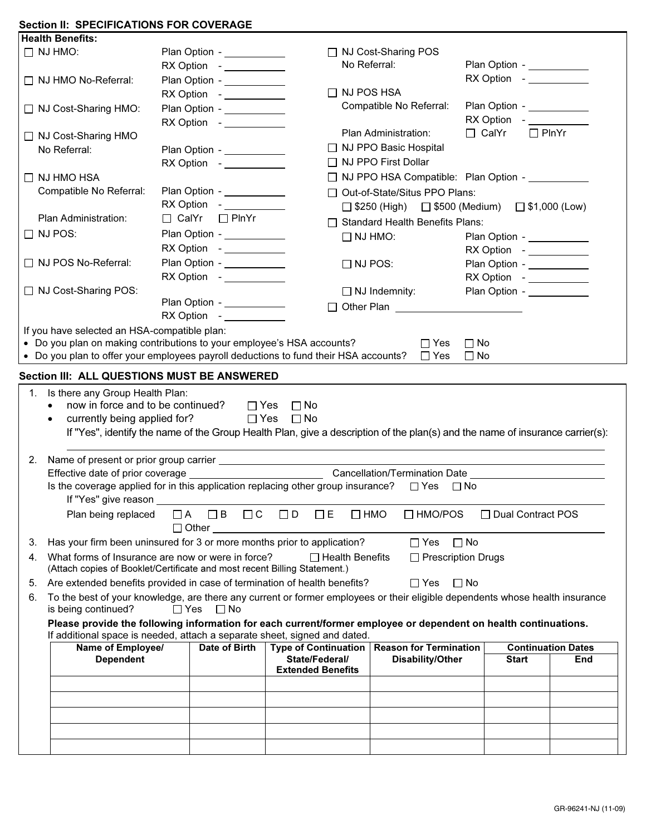## Section II: SPECIFICATIONS FOR COVERAGE

|    | <b>Health Benefits:</b>                                                                                                                                                                      |            |                                             |                                                                                                                               |                                                                |                              |                           |  |  |  |
|----|----------------------------------------------------------------------------------------------------------------------------------------------------------------------------------------------|------------|---------------------------------------------|-------------------------------------------------------------------------------------------------------------------------------|----------------------------------------------------------------|------------------------------|---------------------------|--|--|--|
|    | $\Box$ NJ HMO:                                                                                                                                                                               |            | Plan Option - ___________                   |                                                                                                                               | □ NJ Cost-Sharing POS                                          |                              |                           |  |  |  |
|    |                                                                                                                                                                                              |            | RX Option - ___________                     |                                                                                                                               | No Referral:                                                   | Plan Option - ___________    |                           |  |  |  |
|    | □ NJ HMO No-Referral:                                                                                                                                                                        |            | Plan Option - __________                    |                                                                                                                               |                                                                | RX Option - ___________      |                           |  |  |  |
|    |                                                                                                                                                                                              |            | RX Option - ___________                     | $\Box$ NJ POS HSA                                                                                                             |                                                                |                              |                           |  |  |  |
|    | □ NJ Cost-Sharing HMO:                                                                                                                                                                       |            | Plan Option - ___________                   |                                                                                                                               | Compatible No Referral:                                        | Plan Option - ___________    |                           |  |  |  |
|    |                                                                                                                                                                                              |            |                                             |                                                                                                                               |                                                                | RX Option - ___________      |                           |  |  |  |
|    | □ NJ Cost-Sharing HMO                                                                                                                                                                        |            |                                             |                                                                                                                               | Plan Administration:                                           | $\Box$ CalYr<br>$\Box$ PlnYr |                           |  |  |  |
|    | No Referral:                                                                                                                                                                                 |            | Plan Option - ___________                   |                                                                                                                               | □ NJ PPO Basic Hospital                                        |                              |                           |  |  |  |
|    |                                                                                                                                                                                              |            |                                             |                                                                                                                               | □ NJ PPO First Dollar                                          |                              |                           |  |  |  |
|    | $\Box$ NJ HMO HSA                                                                                                                                                                            |            |                                             |                                                                                                                               | □ NJ PPO HSA Compatible: Plan Option -                         |                              |                           |  |  |  |
|    | Compatible No Referral:                                                                                                                                                                      |            | Plan Option - ___________                   |                                                                                                                               | □ Out-of-State/Situs PPO Plans:                                |                              |                           |  |  |  |
|    |                                                                                                                                                                                              |            |                                             |                                                                                                                               | $\Box$ \$250 (High) $\Box$ \$500 (Medium) $\Box$ \$1,000 (Low) |                              |                           |  |  |  |
|    | Plan Administration:                                                                                                                                                                         |            | $\Box$ CalYr $\Box$ PlnYr                   |                                                                                                                               | □ Standard Health Benefits Plans:                              |                              |                           |  |  |  |
|    | $\Box$ NJ POS:                                                                                                                                                                               |            | Plan Option - __________                    |                                                                                                                               |                                                                |                              |                           |  |  |  |
|    |                                                                                                                                                                                              |            | RX Option -____________                     |                                                                                                                               | $\Box$ NJ HMO:                                                 | Plan Option - __________     |                           |  |  |  |
|    | □ NJ POS No-Referral:                                                                                                                                                                        |            |                                             |                                                                                                                               |                                                                | RX Option - ___________      |                           |  |  |  |
|    |                                                                                                                                                                                              |            | Plan Option - ___________                   | $\Box$ NJ POS:                                                                                                                |                                                                | Plan Option - ___________    |                           |  |  |  |
|    |                                                                                                                                                                                              |            |                                             |                                                                                                                               |                                                                | RX Option - ___________      |                           |  |  |  |
|    | □ NJ Cost-Sharing POS:                                                                                                                                                                       |            | Plan Option - ___________                   |                                                                                                                               | $\Box$ NJ Indemnity:                                           | Plan Option - ___________    |                           |  |  |  |
|    |                                                                                                                                                                                              |            |                                             |                                                                                                                               |                                                                |                              |                           |  |  |  |
|    |                                                                                                                                                                                              |            |                                             |                                                                                                                               |                                                                |                              |                           |  |  |  |
|    | If you have selected an HSA-compatible plan:                                                                                                                                                 |            |                                             |                                                                                                                               |                                                                |                              |                           |  |  |  |
|    | • Do you plan on making contributions to your employee's HSA accounts?<br>• Do you plan to offer your employees payroll deductions to fund their HSA accounts?                               |            |                                             |                                                                                                                               | $\Box$ Yes<br>$\Box$ Yes                                       | $\Box$ No<br>$\Box$ No       |                           |  |  |  |
|    |                                                                                                                                                                                              |            |                                             |                                                                                                                               |                                                                |                              |                           |  |  |  |
|    |                                                                                                                                                                                              |            | Section III: ALL QUESTIONS MUST BE ANSWERED |                                                                                                                               |                                                                |                              |                           |  |  |  |
|    |                                                                                                                                                                                              |            |                                             |                                                                                                                               |                                                                |                              |                           |  |  |  |
|    | 1. Is there any Group Health Plan:                                                                                                                                                           |            |                                             |                                                                                                                               |                                                                |                              |                           |  |  |  |
|    | now in force and to be continued?                                                                                                                                                            |            | $\Box$ Yes                                  | $\square$ No                                                                                                                  |                                                                |                              |                           |  |  |  |
|    | currently being applied for?                                                                                                                                                                 |            | $\Box$ Yes                                  | $\Box$ No                                                                                                                     |                                                                |                              |                           |  |  |  |
|    |                                                                                                                                                                                              |            |                                             | If "Yes", identify the name of the Group Health Plan, give a description of the plan(s) and the name of insurance carrier(s): |                                                                |                              |                           |  |  |  |
|    |                                                                                                                                                                                              |            |                                             |                                                                                                                               |                                                                |                              |                           |  |  |  |
| 2. |                                                                                                                                                                                              |            |                                             |                                                                                                                               |                                                                |                              |                           |  |  |  |
|    |                                                                                                                                                                                              |            |                                             |                                                                                                                               |                                                                |                              |                           |  |  |  |
|    | Is the coverage applied for in this application replacing other group insurance?                                                                                                             |            |                                             |                                                                                                                               | $\Box$ Yes<br>$\Box$ No                                        |                              |                           |  |  |  |
|    | If "Yes" give reason                                                                                                                                                                         |            |                                             |                                                                                                                               |                                                                |                              |                           |  |  |  |
|    | Plan being replaced                                                                                                                                                                          |            | $\Box A$ $\Box B$<br>$\Box$ $C$             | $\Box$ HMO<br>$\Box$ D<br>$\Box$ E                                                                                            | $\Box$ HMO/POS                                                 | $\Box$ Dual Contract POS     |                           |  |  |  |
|    |                                                                                                                                                                                              |            | $\Box$ Other                                |                                                                                                                               |                                                                |                              |                           |  |  |  |
| 3. |                                                                                                                                                                                              |            |                                             |                                                                                                                               | $\Box$ Yes $\Box$ No                                           |                              |                           |  |  |  |
|    | Has your firm been uninsured for 3 or more months prior to application?                                                                                                                      |            |                                             |                                                                                                                               |                                                                |                              |                           |  |  |  |
| 4. | What forms of Insurance are now or were in force?<br>(Attach copies of Booklet/Certificate and most recent Billing Statement.)                                                               |            |                                             | $\Box$ Health Benefits                                                                                                        | $\Box$ Prescription Drugs                                      |                              |                           |  |  |  |
| 5. |                                                                                                                                                                                              |            |                                             |                                                                                                                               |                                                                |                              |                           |  |  |  |
|    | Are extended benefits provided in case of termination of health benefits?                                                                                                                    |            |                                             |                                                                                                                               | $\Box$ Yes<br>$\Box$ No                                        |                              |                           |  |  |  |
| 6. | To the best of your knowledge, are there any current or former employees or their eligible dependents whose health insurance<br>is being continued?                                          | $\Box$ Yes | $\Box$ No                                   |                                                                                                                               |                                                                |                              |                           |  |  |  |
|    |                                                                                                                                                                                              |            |                                             |                                                                                                                               |                                                                |                              |                           |  |  |  |
|    | Please provide the following information for each current/former employee or dependent on health continuations.<br>If additional space is needed, attach a separate sheet, signed and dated. |            |                                             |                                                                                                                               |                                                                |                              |                           |  |  |  |
|    | Name of Employee/                                                                                                                                                                            |            | Date of Birth                               | Type of Continuation   Reason for Termination                                                                                 |                                                                |                              | <b>Continuation Dates</b> |  |  |  |
|    | <b>Dependent</b>                                                                                                                                                                             |            |                                             | State/Federal/                                                                                                                | Disability/Other                                               | <b>Start</b>                 | End                       |  |  |  |
|    |                                                                                                                                                                                              |            |                                             | <b>Extended Benefits</b>                                                                                                      |                                                                |                              |                           |  |  |  |
|    |                                                                                                                                                                                              |            |                                             |                                                                                                                               |                                                                |                              |                           |  |  |  |
|    |                                                                                                                                                                                              |            |                                             |                                                                                                                               |                                                                |                              |                           |  |  |  |
|    |                                                                                                                                                                                              |            |                                             |                                                                                                                               |                                                                |                              |                           |  |  |  |
|    |                                                                                                                                                                                              |            |                                             |                                                                                                                               |                                                                |                              |                           |  |  |  |